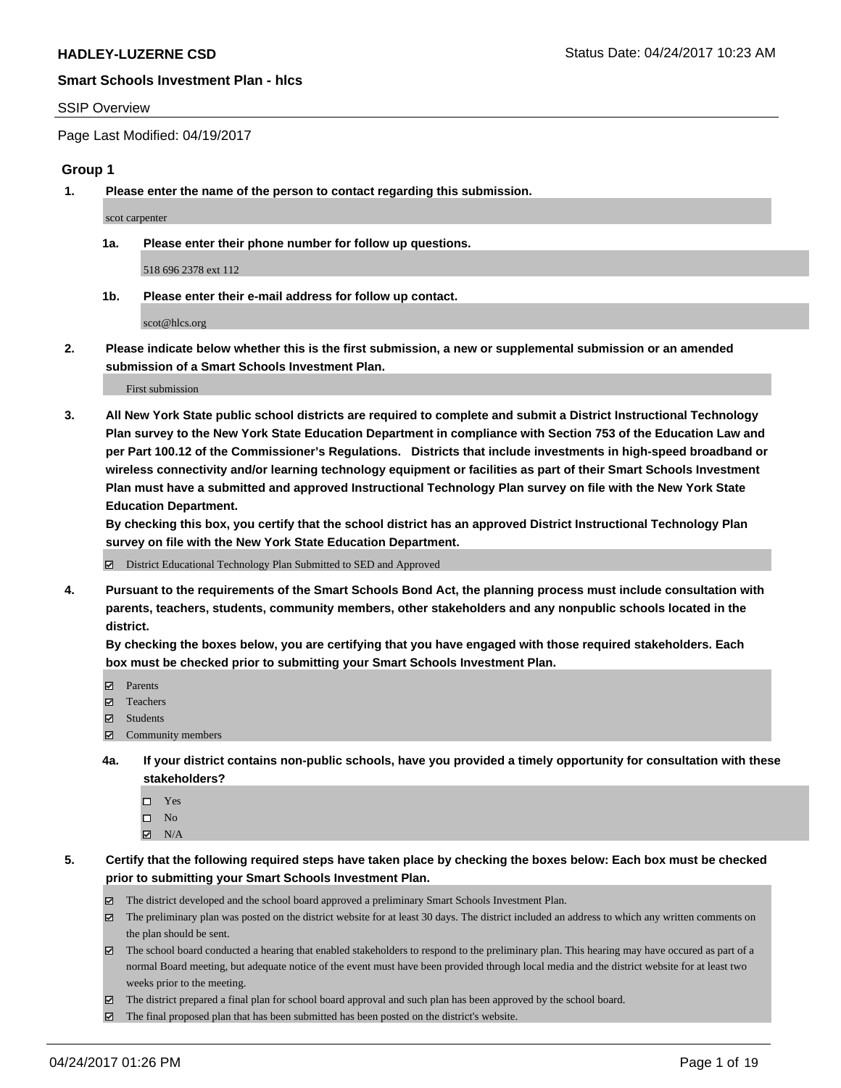#### SSIP Overview

Page Last Modified: 04/19/2017

#### **Group 1**

**1. Please enter the name of the person to contact regarding this submission.**

scot carpenter

**1a. Please enter their phone number for follow up questions.**

518 696 2378 ext 112

**1b. Please enter their e-mail address for follow up contact.**

scot@hlcs.org

**2. Please indicate below whether this is the first submission, a new or supplemental submission or an amended submission of a Smart Schools Investment Plan.**

First submission

**3. All New York State public school districts are required to complete and submit a District Instructional Technology Plan survey to the New York State Education Department in compliance with Section 753 of the Education Law and per Part 100.12 of the Commissioner's Regulations. Districts that include investments in high-speed broadband or wireless connectivity and/or learning technology equipment or facilities as part of their Smart Schools Investment Plan must have a submitted and approved Instructional Technology Plan survey on file with the New York State Education Department.** 

**By checking this box, you certify that the school district has an approved District Instructional Technology Plan survey on file with the New York State Education Department.**

District Educational Technology Plan Submitted to SED and Approved

**4. Pursuant to the requirements of the Smart Schools Bond Act, the planning process must include consultation with parents, teachers, students, community members, other stakeholders and any nonpublic schools located in the district.** 

**By checking the boxes below, you are certifying that you have engaged with those required stakeholders. Each box must be checked prior to submitting your Smart Schools Investment Plan.**

- **マ** Parents
- □ Teachers
- Students
- $\Xi$  Community members
- **4a. If your district contains non-public schools, have you provided a timely opportunity for consultation with these stakeholders?**
	- Yes
	- $\hfill \square$  No
	- $\boxtimes$  N/A
- **5. Certify that the following required steps have taken place by checking the boxes below: Each box must be checked prior to submitting your Smart Schools Investment Plan.**
	- The district developed and the school board approved a preliminary Smart Schools Investment Plan.
	- $\boxtimes$  The preliminary plan was posted on the district website for at least 30 days. The district included an address to which any written comments on the plan should be sent.
	- $\boxtimes$  The school board conducted a hearing that enabled stakeholders to respond to the preliminary plan. This hearing may have occured as part of a normal Board meeting, but adequate notice of the event must have been provided through local media and the district website for at least two weeks prior to the meeting.
	- The district prepared a final plan for school board approval and such plan has been approved by the school board.
	- $\boxtimes$  The final proposed plan that has been submitted has been posted on the district's website.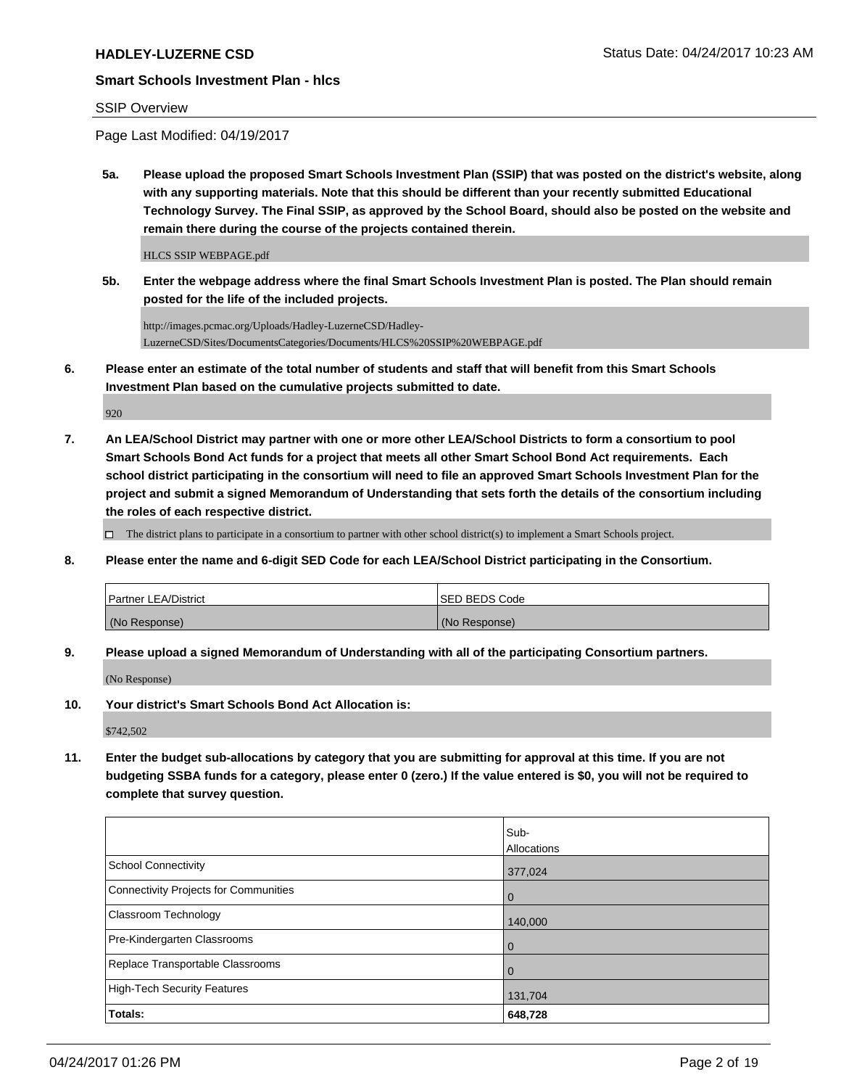#### SSIP Overview

Page Last Modified: 04/19/2017

**5a. Please upload the proposed Smart Schools Investment Plan (SSIP) that was posted on the district's website, along with any supporting materials. Note that this should be different than your recently submitted Educational Technology Survey. The Final SSIP, as approved by the School Board, should also be posted on the website and remain there during the course of the projects contained therein.**

HLCS SSIP WEBPAGE.pdf

**5b. Enter the webpage address where the final Smart Schools Investment Plan is posted. The Plan should remain posted for the life of the included projects.**

http://images.pcmac.org/Uploads/Hadley-LuzerneCSD/Hadley-LuzerneCSD/Sites/DocumentsCategories/Documents/HLCS%20SSIP%20WEBPAGE.pdf

**6. Please enter an estimate of the total number of students and staff that will benefit from this Smart Schools Investment Plan based on the cumulative projects submitted to date.**

920

**7. An LEA/School District may partner with one or more other LEA/School Districts to form a consortium to pool Smart Schools Bond Act funds for a project that meets all other Smart School Bond Act requirements. Each school district participating in the consortium will need to file an approved Smart Schools Investment Plan for the project and submit a signed Memorandum of Understanding that sets forth the details of the consortium including the roles of each respective district.**

 $\Box$  The district plans to participate in a consortium to partner with other school district(s) to implement a Smart Schools project.

**8. Please enter the name and 6-digit SED Code for each LEA/School District participating in the Consortium.**

| <b>Partner LEA/District</b> | ISED BEDS Code |
|-----------------------------|----------------|
| (No Response)               | (No Response)  |

**9. Please upload a signed Memorandum of Understanding with all of the participating Consortium partners.**

(No Response)

**10. Your district's Smart Schools Bond Act Allocation is:**

\$742,502

**11. Enter the budget sub-allocations by category that you are submitting for approval at this time. If you are not budgeting SSBA funds for a category, please enter 0 (zero.) If the value entered is \$0, you will not be required to complete that survey question.**

|                                       | Sub-           |
|---------------------------------------|----------------|
|                                       | Allocations    |
| <b>School Connectivity</b>            | 377,024        |
| Connectivity Projects for Communities | $\overline{0}$ |
| <b>Classroom Technology</b>           | 140,000        |
| Pre-Kindergarten Classrooms           | $\overline{0}$ |
| Replace Transportable Classrooms      | $\overline{0}$ |
| High-Tech Security Features           | 131,704        |
| Totals:                               | 648,728        |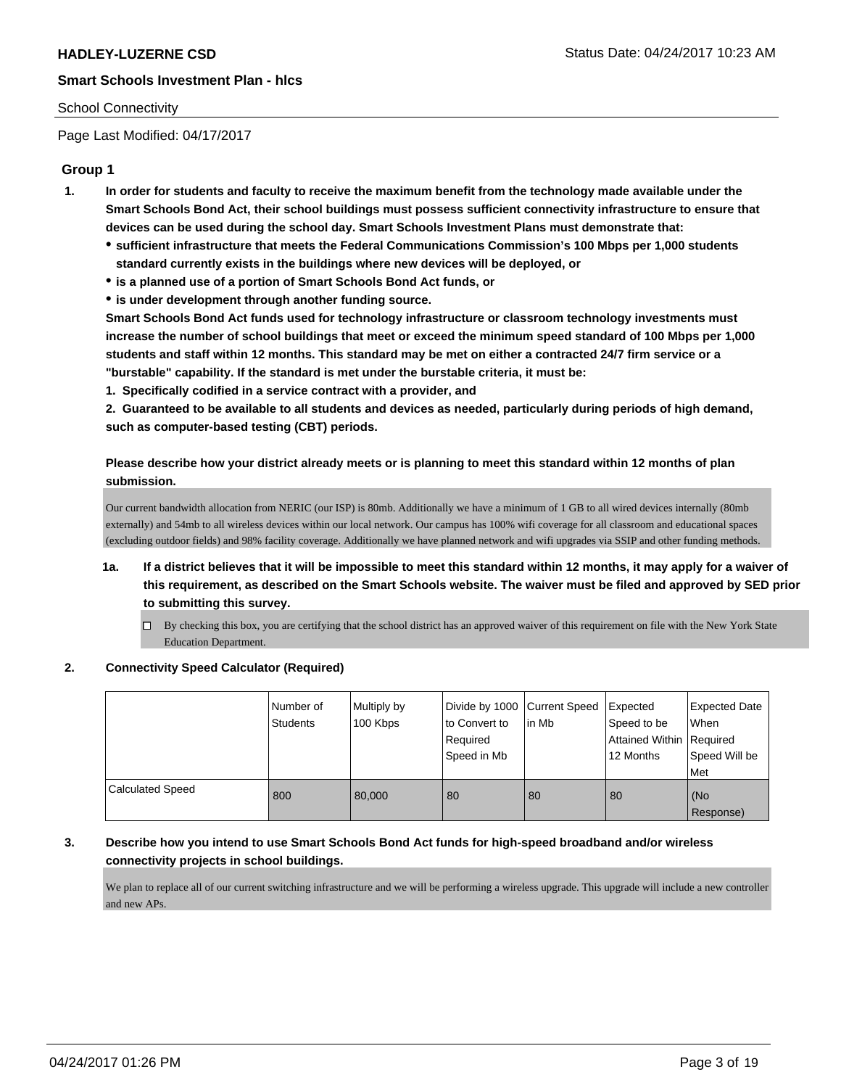#### School Connectivity

Page Last Modified: 04/17/2017

# **Group 1**

- **1. In order for students and faculty to receive the maximum benefit from the technology made available under the Smart Schools Bond Act, their school buildings must possess sufficient connectivity infrastructure to ensure that devices can be used during the school day. Smart Schools Investment Plans must demonstrate that:**
	- **sufficient infrastructure that meets the Federal Communications Commission's 100 Mbps per 1,000 students standard currently exists in the buildings where new devices will be deployed, or**
	- **is a planned use of a portion of Smart Schools Bond Act funds, or**
	- **is under development through another funding source.**

**Smart Schools Bond Act funds used for technology infrastructure or classroom technology investments must increase the number of school buildings that meet or exceed the minimum speed standard of 100 Mbps per 1,000 students and staff within 12 months. This standard may be met on either a contracted 24/7 firm service or a "burstable" capability. If the standard is met under the burstable criteria, it must be:**

**1. Specifically codified in a service contract with a provider, and**

**2. Guaranteed to be available to all students and devices as needed, particularly during periods of high demand, such as computer-based testing (CBT) periods.**

**Please describe how your district already meets or is planning to meet this standard within 12 months of plan submission.**

Our current bandwidth allocation from NERIC (our ISP) is 80mb. Additionally we have a minimum of 1 GB to all wired devices internally (80mb externally) and 54mb to all wireless devices within our local network. Our campus has 100% wifi coverage for all classroom and educational spaces (excluding outdoor fields) and 98% facility coverage. Additionally we have planned network and wifi upgrades via SSIP and other funding methods.

- **1a. If a district believes that it will be impossible to meet this standard within 12 months, it may apply for a waiver of this requirement, as described on the Smart Schools website. The waiver must be filed and approved by SED prior to submitting this survey.**
	- By checking this box, you are certifying that the school district has an approved waiver of this requirement on file with the New York State Education Department.

#### **2. Connectivity Speed Calculator (Required)**

|                         | I Number of<br><b>Students</b> | Multiply by<br>100 Kbps | Divide by 1000 Current Speed<br>to Convert to<br>Required<br>Speed in Mb | lin Mb | Expected<br>Speed to be<br>Attained Within Required<br>12 Months | <b>Expected Date</b><br>When<br>Speed Will be<br>Met |
|-------------------------|--------------------------------|-------------------------|--------------------------------------------------------------------------|--------|------------------------------------------------------------------|------------------------------------------------------|
| <b>Calculated Speed</b> | 800                            | 80,000                  | 80                                                                       | 80     | 80                                                               | (No<br>Response)                                     |

#### **3. Describe how you intend to use Smart Schools Bond Act funds for high-speed broadband and/or wireless connectivity projects in school buildings.**

We plan to replace all of our current switching infrastructure and we will be performing a wireless upgrade. This upgrade will include a new controller and new APs.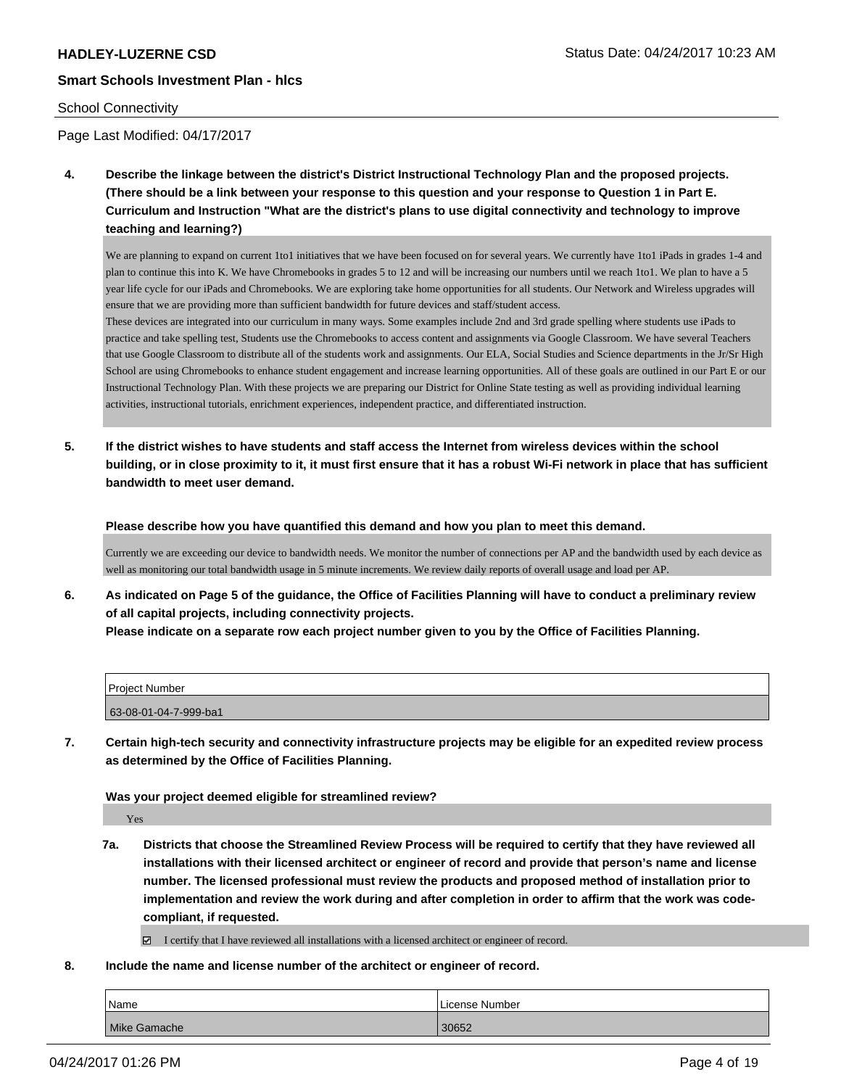#### School Connectivity

Page Last Modified: 04/17/2017

**4. Describe the linkage between the district's District Instructional Technology Plan and the proposed projects. (There should be a link between your response to this question and your response to Question 1 in Part E. Curriculum and Instruction "What are the district's plans to use digital connectivity and technology to improve teaching and learning?)**

We are planning to expand on current 1to1 initiatives that we have been focused on for several years. We currently have 1to1 iPads in grades 1-4 and plan to continue this into K. We have Chromebooks in grades 5 to 12 and will be increasing our numbers until we reach 1to1. We plan to have a 5 year life cycle for our iPads and Chromebooks. We are exploring take home opportunities for all students. Our Network and Wireless upgrades will ensure that we are providing more than sufficient bandwidth for future devices and staff/student access.

These devices are integrated into our curriculum in many ways. Some examples include 2nd and 3rd grade spelling where students use iPads to practice and take spelling test, Students use the Chromebooks to access content and assignments via Google Classroom. We have several Teachers that use Google Classroom to distribute all of the students work and assignments. Our ELA, Social Studies and Science departments in the Jr/Sr High School are using Chromebooks to enhance student engagement and increase learning opportunities. All of these goals are outlined in our Part E or our Instructional Technology Plan. With these projects we are preparing our District for Online State testing as well as providing individual learning activities, instructional tutorials, enrichment experiences, independent practice, and differentiated instruction.

**5. If the district wishes to have students and staff access the Internet from wireless devices within the school building, or in close proximity to it, it must first ensure that it has a robust Wi-Fi network in place that has sufficient bandwidth to meet user demand.**

**Please describe how you have quantified this demand and how you plan to meet this demand.**

Currently we are exceeding our device to bandwidth needs. We monitor the number of connections per AP and the bandwidth used by each device as well as monitoring our total bandwidth usage in 5 minute increments. We review daily reports of overall usage and load per AP.

**6. As indicated on Page 5 of the guidance, the Office of Facilities Planning will have to conduct a preliminary review of all capital projects, including connectivity projects. Please indicate on a separate row each project number given to you by the Office of Facilities Planning.**

| <b>Project Number</b> |  |
|-----------------------|--|
| 63-08-01-04-7-999-ba1 |  |

**7. Certain high-tech security and connectivity infrastructure projects may be eligible for an expedited review process as determined by the Office of Facilities Planning.**

**Was your project deemed eligible for streamlined review?**

Yes

**7a. Districts that choose the Streamlined Review Process will be required to certify that they have reviewed all installations with their licensed architect or engineer of record and provide that person's name and license number. The licensed professional must review the products and proposed method of installation prior to implementation and review the work during and after completion in order to affirm that the work was codecompliant, if requested.**

I certify that I have reviewed all installations with a licensed architect or engineer of record.

**8. Include the name and license number of the architect or engineer of record.**

| Name         | License Number |
|--------------|----------------|
| Mike Gamache | 30652          |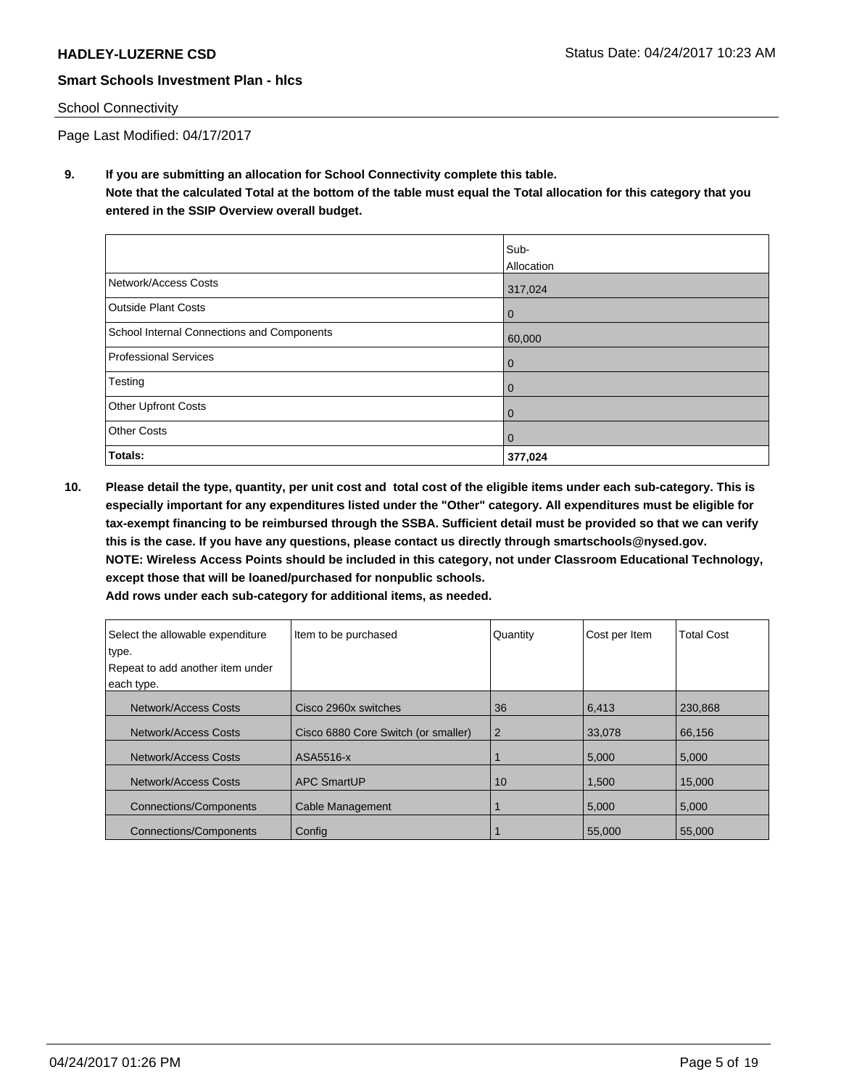#### School Connectivity

Page Last Modified: 04/17/2017

**9. If you are submitting an allocation for School Connectivity complete this table. Note that the calculated Total at the bottom of the table must equal the Total allocation for this category that you entered in the SSIP Overview overall budget.** 

|                                            | Sub-       |
|--------------------------------------------|------------|
|                                            | Allocation |
| Network/Access Costs                       | 317,024    |
| <b>Outside Plant Costs</b>                 | 0          |
| School Internal Connections and Components | 60,000     |
| Professional Services                      | 0          |
| Testing                                    | 0          |
| Other Upfront Costs                        | 0          |
| <b>Other Costs</b>                         | 0          |
| Totals:                                    | 377,024    |

**10. Please detail the type, quantity, per unit cost and total cost of the eligible items under each sub-category. This is especially important for any expenditures listed under the "Other" category. All expenditures must be eligible for tax-exempt financing to be reimbursed through the SSBA. Sufficient detail must be provided so that we can verify this is the case. If you have any questions, please contact us directly through smartschools@nysed.gov. NOTE: Wireless Access Points should be included in this category, not under Classroom Educational Technology, except those that will be loaned/purchased for nonpublic schools.**

| Add rows under each sub-category for additional items, as needed. |  |
|-------------------------------------------------------------------|--|
|-------------------------------------------------------------------|--|

| Select the allowable expenditure | Item to be purchased                | Quantity       | Cost per Item | <b>Total Cost</b> |
|----------------------------------|-------------------------------------|----------------|---------------|-------------------|
| type.                            |                                     |                |               |                   |
| Repeat to add another item under |                                     |                |               |                   |
| each type.                       |                                     |                |               |                   |
| Network/Access Costs             | Cisco 2960x switches                | 36             | 6,413         | 230.868           |
| Network/Access Costs             | Cisco 6880 Core Switch (or smaller) | $\overline{2}$ | 33,078        | 66,156            |
| Network/Access Costs             | ASA5516-x                           |                | 5,000         | 5,000             |
| Network/Access Costs             | <b>APC SmartUP</b>                  | 10             | 1,500         | 15,000            |
| <b>Connections/Components</b>    | Cable Management                    |                | 5,000         | 5,000             |
| <b>Connections/Components</b>    | Config                              |                | 55,000        | 55,000            |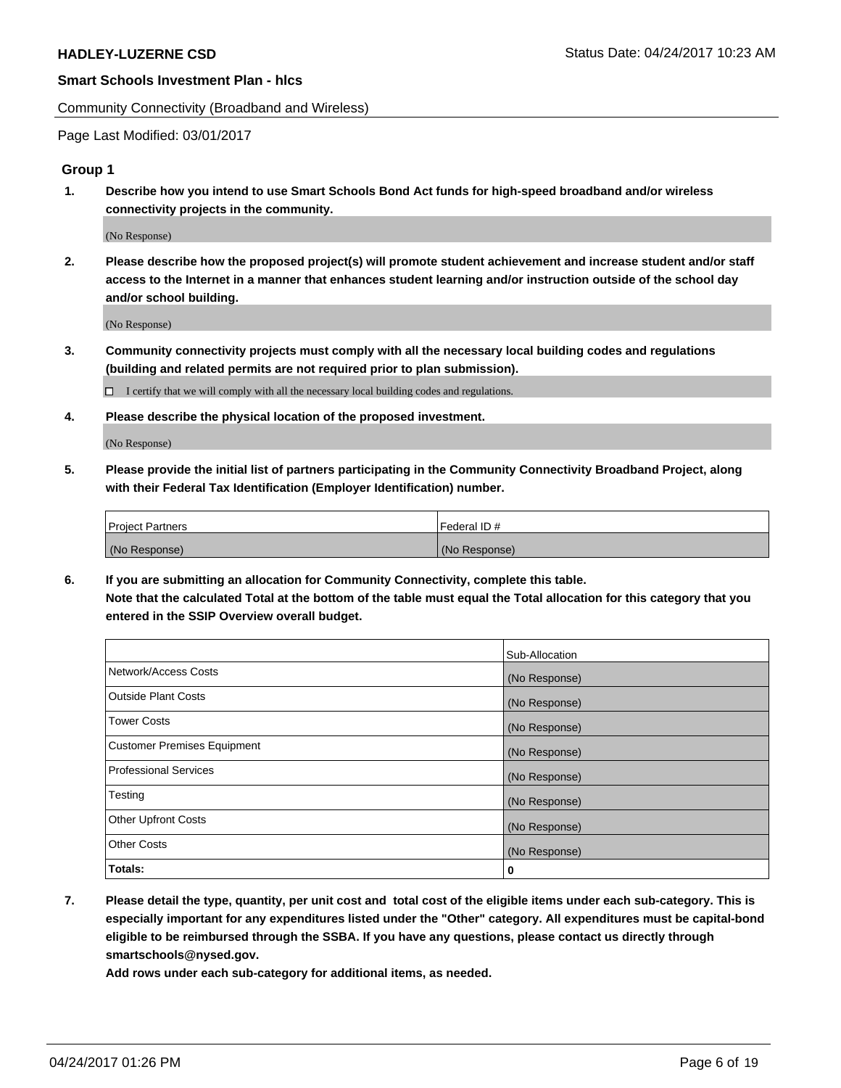Community Connectivity (Broadband and Wireless)

Page Last Modified: 03/01/2017

#### **Group 1**

**1. Describe how you intend to use Smart Schools Bond Act funds for high-speed broadband and/or wireless connectivity projects in the community.**

(No Response)

**2. Please describe how the proposed project(s) will promote student achievement and increase student and/or staff access to the Internet in a manner that enhances student learning and/or instruction outside of the school day and/or school building.**

(No Response)

**3. Community connectivity projects must comply with all the necessary local building codes and regulations (building and related permits are not required prior to plan submission).**

 $\Box$  I certify that we will comply with all the necessary local building codes and regulations.

**4. Please describe the physical location of the proposed investment.**

(No Response)

**5. Please provide the initial list of partners participating in the Community Connectivity Broadband Project, along with their Federal Tax Identification (Employer Identification) number.**

| <b>Project Partners</b> | Federal ID#     |
|-------------------------|-----------------|
| (No Response)           | l (No Response) |

**6. If you are submitting an allocation for Community Connectivity, complete this table. Note that the calculated Total at the bottom of the table must equal the Total allocation for this category that you entered in the SSIP Overview overall budget.**

|                                    | Sub-Allocation |
|------------------------------------|----------------|
| Network/Access Costs               | (No Response)  |
| Outside Plant Costs                | (No Response)  |
| Tower Costs                        | (No Response)  |
| <b>Customer Premises Equipment</b> | (No Response)  |
| <b>Professional Services</b>       | (No Response)  |
| Testing                            | (No Response)  |
| <b>Other Upfront Costs</b>         | (No Response)  |
| <b>Other Costs</b>                 | (No Response)  |
| Totals:                            | 0              |

**7. Please detail the type, quantity, per unit cost and total cost of the eligible items under each sub-category. This is especially important for any expenditures listed under the "Other" category. All expenditures must be capital-bond eligible to be reimbursed through the SSBA. If you have any questions, please contact us directly through smartschools@nysed.gov.**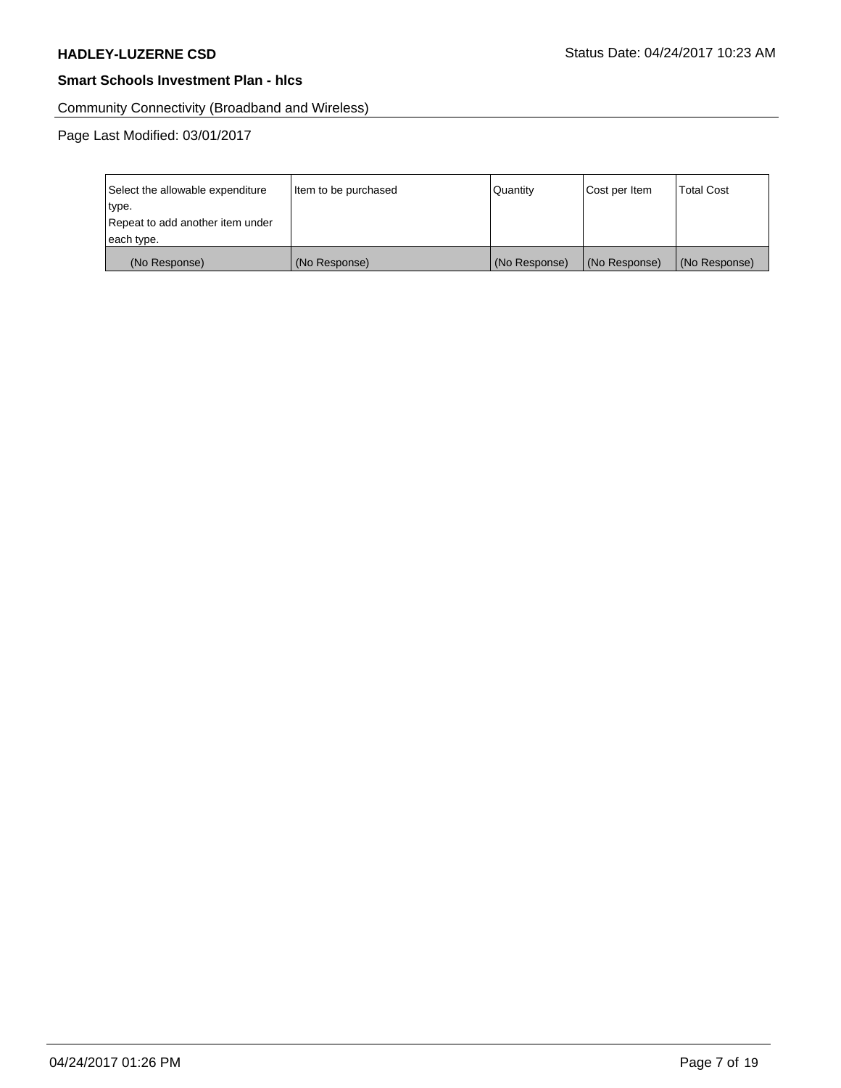Community Connectivity (Broadband and Wireless)

Page Last Modified: 03/01/2017

| Select the allowable expenditure | Item to be purchased | Quantity      | Cost per Item | <b>Total Cost</b> |
|----------------------------------|----------------------|---------------|---------------|-------------------|
| type.                            |                      |               |               |                   |
| Repeat to add another item under |                      |               |               |                   |
| each type.                       |                      |               |               |                   |
| (No Response)                    | (No Response)        | (No Response) | (No Response) | (No Response)     |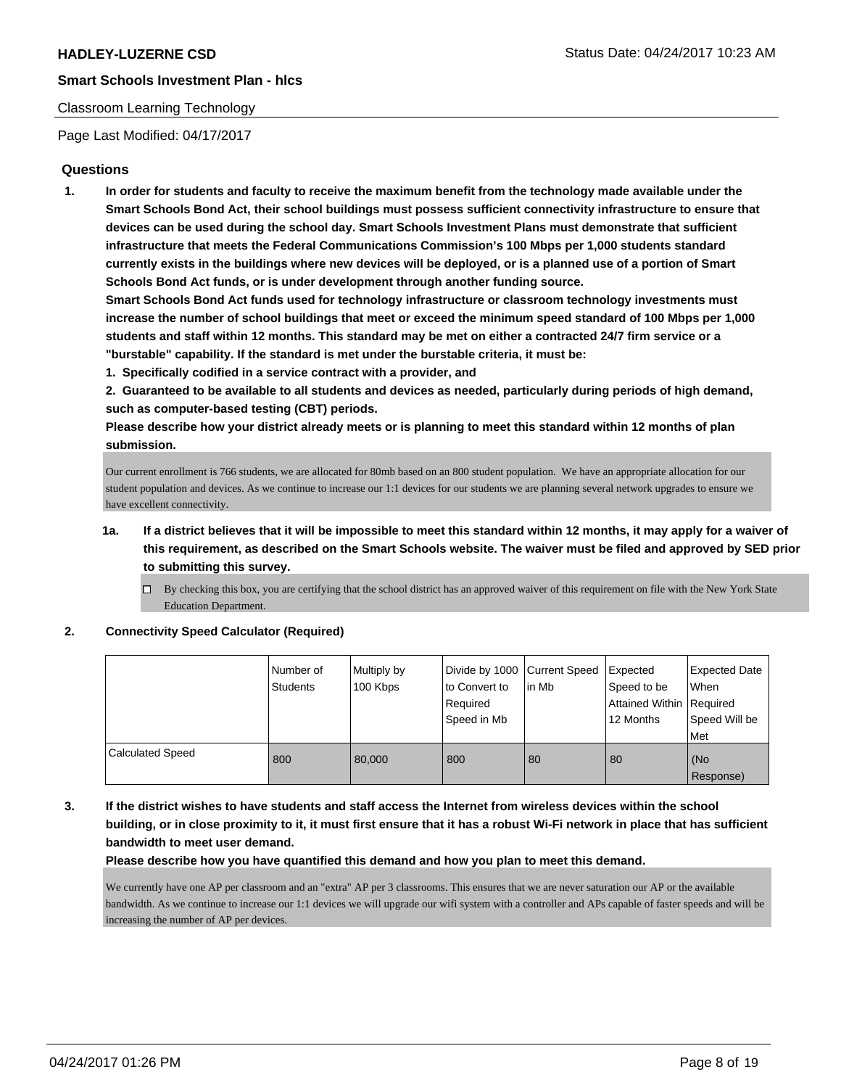#### Classroom Learning Technology

Page Last Modified: 04/17/2017

# **Questions**

**1. In order for students and faculty to receive the maximum benefit from the technology made available under the Smart Schools Bond Act, their school buildings must possess sufficient connectivity infrastructure to ensure that devices can be used during the school day. Smart Schools Investment Plans must demonstrate that sufficient infrastructure that meets the Federal Communications Commission's 100 Mbps per 1,000 students standard currently exists in the buildings where new devices will be deployed, or is a planned use of a portion of Smart Schools Bond Act funds, or is under development through another funding source.**

**Smart Schools Bond Act funds used for technology infrastructure or classroom technology investments must increase the number of school buildings that meet or exceed the minimum speed standard of 100 Mbps per 1,000 students and staff within 12 months. This standard may be met on either a contracted 24/7 firm service or a "burstable" capability. If the standard is met under the burstable criteria, it must be:**

**1. Specifically codified in a service contract with a provider, and**

**2. Guaranteed to be available to all students and devices as needed, particularly during periods of high demand, such as computer-based testing (CBT) periods.**

**Please describe how your district already meets or is planning to meet this standard within 12 months of plan submission.**

Our current enrollment is 766 students, we are allocated for 80mb based on an 800 student population. We have an appropriate allocation for our student population and devices. As we continue to increase our 1:1 devices for our students we are planning several network upgrades to ensure we have excellent connectivity.

# **1a. If a district believes that it will be impossible to meet this standard within 12 months, it may apply for a waiver of this requirement, as described on the Smart Schools website. The waiver must be filed and approved by SED prior to submitting this survey.**

 $\Box$  By checking this box, you are certifying that the school district has an approved waiver of this requirement on file with the New York State Education Department.

**2. Connectivity Speed Calculator (Required)**

|                         | Number of<br>Students | Multiply by<br>100 Kbps | Divide by 1000 Current Speed<br>to Convert to<br>Required<br>Speed in Mb | lin Mb | Expected<br>Speed to be<br>Attained Within   Required<br>12 Months | <b>Expected Date</b><br>When<br>Speed Will be<br>Met |
|-------------------------|-----------------------|-------------------------|--------------------------------------------------------------------------|--------|--------------------------------------------------------------------|------------------------------------------------------|
| <b>Calculated Speed</b> | 800                   | 80,000                  | 800                                                                      | 80     | 80                                                                 | l (No<br>Response)                                   |

# **3. If the district wishes to have students and staff access the Internet from wireless devices within the school building, or in close proximity to it, it must first ensure that it has a robust Wi-Fi network in place that has sufficient bandwidth to meet user demand.**

**Please describe how you have quantified this demand and how you plan to meet this demand.**

We currently have one AP per classroom and an "extra" AP per 3 classrooms. This ensures that we are never saturation our AP or the available bandwidth. As we continue to increase our 1:1 devices we will upgrade our wifi system with a controller and APs capable of faster speeds and will be increasing the number of AP per devices.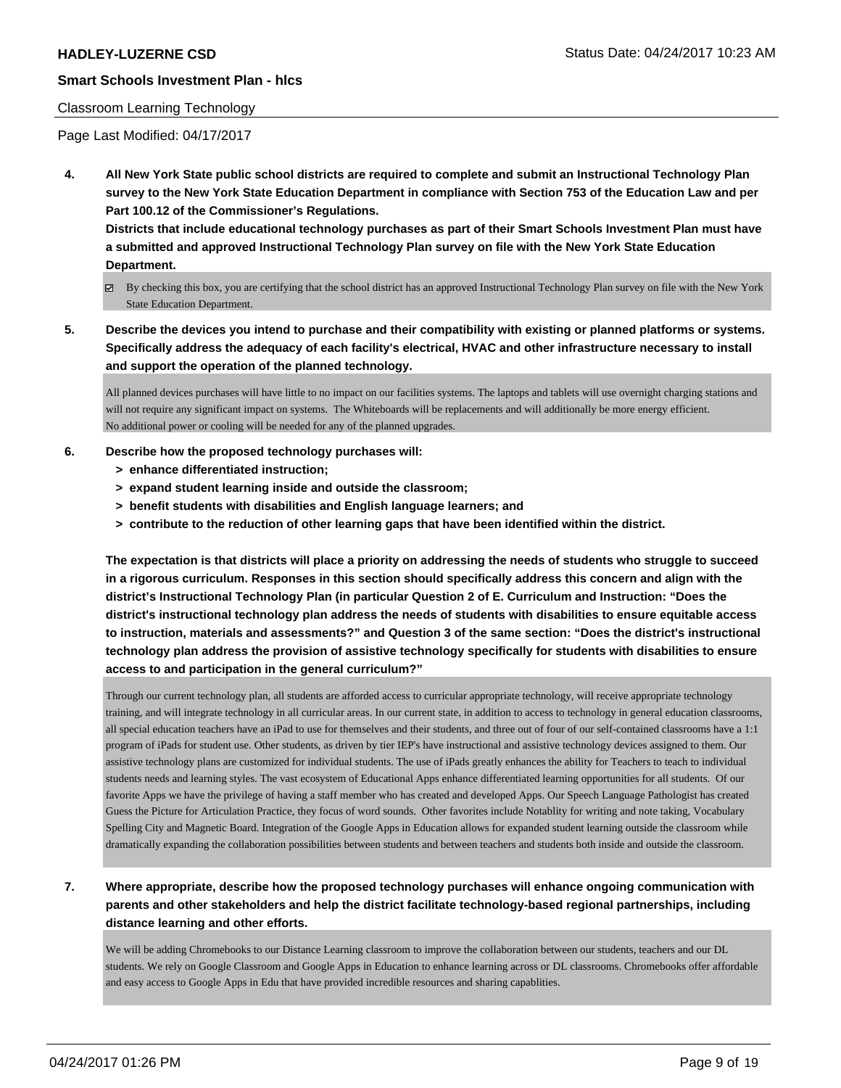#### Classroom Learning Technology

Page Last Modified: 04/17/2017

**4. All New York State public school districts are required to complete and submit an Instructional Technology Plan survey to the New York State Education Department in compliance with Section 753 of the Education Law and per Part 100.12 of the Commissioner's Regulations.**

**Districts that include educational technology purchases as part of their Smart Schools Investment Plan must have a submitted and approved Instructional Technology Plan survey on file with the New York State Education Department.**

- By checking this box, you are certifying that the school district has an approved Instructional Technology Plan survey on file with the New York State Education Department.
- **5. Describe the devices you intend to purchase and their compatibility with existing or planned platforms or systems. Specifically address the adequacy of each facility's electrical, HVAC and other infrastructure necessary to install and support the operation of the planned technology.**

All planned devices purchases will have little to no impact on our facilities systems. The laptops and tablets will use overnight charging stations and will not require any significant impact on systems. The Whiteboards will be replacements and will additionally be more energy efficient. No additional power or cooling will be needed for any of the planned upgrades.

- **6. Describe how the proposed technology purchases will:**
	- **> enhance differentiated instruction;**
	- **> expand student learning inside and outside the classroom;**
	- **> benefit students with disabilities and English language learners; and**
	- **> contribute to the reduction of other learning gaps that have been identified within the district.**

**The expectation is that districts will place a priority on addressing the needs of students who struggle to succeed in a rigorous curriculum. Responses in this section should specifically address this concern and align with the district's Instructional Technology Plan (in particular Question 2 of E. Curriculum and Instruction: "Does the district's instructional technology plan address the needs of students with disabilities to ensure equitable access to instruction, materials and assessments?" and Question 3 of the same section: "Does the district's instructional technology plan address the provision of assistive technology specifically for students with disabilities to ensure access to and participation in the general curriculum?"**

Through our current technology plan, all students are afforded access to curricular appropriate technology, will receive appropriate technology training, and will integrate technology in all curricular areas. In our current state, in addition to access to technology in general education classrooms, all special education teachers have an iPad to use for themselves and their students, and three out of four of our self-contained classrooms have a 1:1 program of iPads for student use. Other students, as driven by tier IEP's have instructional and assistive technology devices assigned to them. Our assistive technology plans are customized for individual students. The use of iPads greatly enhances the ability for Teachers to teach to individual students needs and learning styles. The vast ecosystem of Educational Apps enhance differentiated learning opportunities for all students. Of our favorite Apps we have the privilege of having a staff member who has created and developed Apps. Our Speech Language Pathologist has created Guess the Picture for Articulation Practice, they focus of word sounds. Other favorites include Notablity for writing and note taking, Vocabulary Spelling City and Magnetic Board. Integration of the Google Apps in Education allows for expanded student learning outside the classroom while dramatically expanding the collaboration possibilities between students and between teachers and students both inside and outside the classroom.

**7. Where appropriate, describe how the proposed technology purchases will enhance ongoing communication with parents and other stakeholders and help the district facilitate technology-based regional partnerships, including distance learning and other efforts.**

We will be adding Chromebooks to our Distance Learning classroom to improve the collaboration between our students, teachers and our DL students. We rely on Google Classroom and Google Apps in Education to enhance learning across or DL classrooms. Chromebooks offer affordable and easy access to Google Apps in Edu that have provided incredible resources and sharing capablities.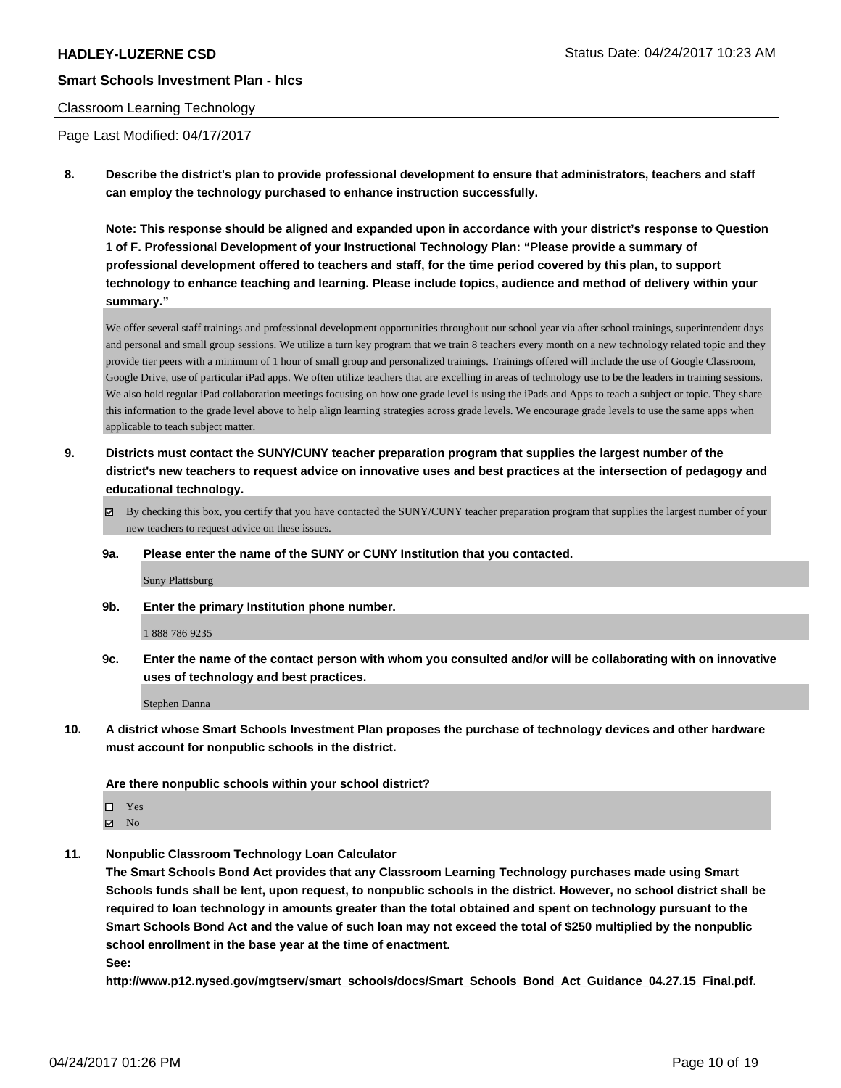#### Classroom Learning Technology

Page Last Modified: 04/17/2017

**8. Describe the district's plan to provide professional development to ensure that administrators, teachers and staff can employ the technology purchased to enhance instruction successfully.**

**Note: This response should be aligned and expanded upon in accordance with your district's response to Question 1 of F. Professional Development of your Instructional Technology Plan: "Please provide a summary of professional development offered to teachers and staff, for the time period covered by this plan, to support technology to enhance teaching and learning. Please include topics, audience and method of delivery within your summary."**

We offer several staff trainings and professional development opportunities throughout our school year via after school trainings, superintendent days and personal and small group sessions. We utilize a turn key program that we train 8 teachers every month on a new technology related topic and they provide tier peers with a minimum of 1 hour of small group and personalized trainings. Trainings offered will include the use of Google Classroom, Google Drive, use of particular iPad apps. We often utilize teachers that are excelling in areas of technology use to be the leaders in training sessions. We also hold regular iPad collaboration meetings focusing on how one grade level is using the iPads and Apps to teach a subject or topic. They share this information to the grade level above to help align learning strategies across grade levels. We encourage grade levels to use the same apps when applicable to teach subject matter.

- **9. Districts must contact the SUNY/CUNY teacher preparation program that supplies the largest number of the district's new teachers to request advice on innovative uses and best practices at the intersection of pedagogy and educational technology.**
	- $\boxtimes$  By checking this box, you certify that you have contacted the SUNY/CUNY teacher preparation program that supplies the largest number of your new teachers to request advice on these issues.
	- **9a. Please enter the name of the SUNY or CUNY Institution that you contacted.**

Suny Plattsburg

**9b. Enter the primary Institution phone number.**

1 888 786 9235

**9c. Enter the name of the contact person with whom you consulted and/or will be collaborating with on innovative uses of technology and best practices.**

Stephen Danna

**10. A district whose Smart Schools Investment Plan proposes the purchase of technology devices and other hardware must account for nonpublic schools in the district.**

#### **Are there nonpublic schools within your school district?**

| $\square$ Yes  |  |
|----------------|--|
| $\boxtimes$ No |  |

**11. Nonpublic Classroom Technology Loan Calculator**

**The Smart Schools Bond Act provides that any Classroom Learning Technology purchases made using Smart Schools funds shall be lent, upon request, to nonpublic schools in the district. However, no school district shall be required to loan technology in amounts greater than the total obtained and spent on technology pursuant to the Smart Schools Bond Act and the value of such loan may not exceed the total of \$250 multiplied by the nonpublic school enrollment in the base year at the time of enactment.**

**See:**

**http://www.p12.nysed.gov/mgtserv/smart\_schools/docs/Smart\_Schools\_Bond\_Act\_Guidance\_04.27.15\_Final.pdf.**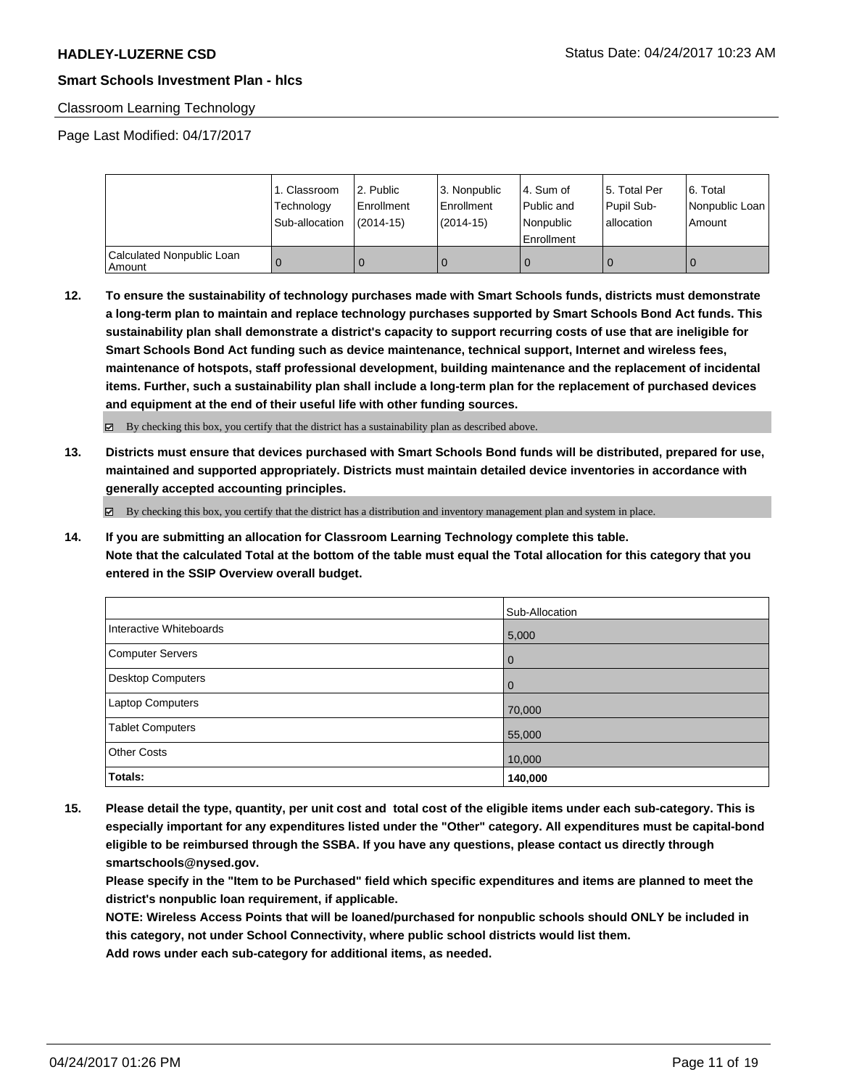#### Classroom Learning Technology

Page Last Modified: 04/17/2017

|                                       | 1. Classroom<br>Technology<br>Sub-allocation | 2. Public<br>Enrollment<br>(2014-15) | l 3. Nonpublic<br>l Enrollment<br>(2014-15) | l 4. Sum of<br>Public and<br>l Nonpublic<br>Enrollment | 15. Total Per<br>Pupil Sub-<br>allocation | l 6. Total<br>Nonpublic Loan  <br>Amount |
|---------------------------------------|----------------------------------------------|--------------------------------------|---------------------------------------------|--------------------------------------------------------|-------------------------------------------|------------------------------------------|
| Calculated Nonpublic Loan<br>l Amount |                                              |                                      |                                             |                                                        |                                           | 0                                        |

**12. To ensure the sustainability of technology purchases made with Smart Schools funds, districts must demonstrate a long-term plan to maintain and replace technology purchases supported by Smart Schools Bond Act funds. This sustainability plan shall demonstrate a district's capacity to support recurring costs of use that are ineligible for Smart Schools Bond Act funding such as device maintenance, technical support, Internet and wireless fees, maintenance of hotspots, staff professional development, building maintenance and the replacement of incidental items. Further, such a sustainability plan shall include a long-term plan for the replacement of purchased devices and equipment at the end of their useful life with other funding sources.**

By checking this box, you certify that the district has a sustainability plan as described above.

**13. Districts must ensure that devices purchased with Smart Schools Bond funds will be distributed, prepared for use, maintained and supported appropriately. Districts must maintain detailed device inventories in accordance with generally accepted accounting principles.**

 $\boxtimes$  By checking this box, you certify that the district has a distribution and inventory management plan and system in place.

**14. If you are submitting an allocation for Classroom Learning Technology complete this table. Note that the calculated Total at the bottom of the table must equal the Total allocation for this category that you entered in the SSIP Overview overall budget.**

|                         | Sub-Allocation |
|-------------------------|----------------|
| Interactive Whiteboards | 5,000          |
| Computer Servers        | $\overline{0}$ |
| Desktop Computers       | $\overline{0}$ |
| Laptop Computers        | 70,000         |
| <b>Tablet Computers</b> | 55,000         |
| <b>Other Costs</b>      | 10,000         |
| Totals:                 | 140,000        |

**15. Please detail the type, quantity, per unit cost and total cost of the eligible items under each sub-category. This is especially important for any expenditures listed under the "Other" category. All expenditures must be capital-bond eligible to be reimbursed through the SSBA. If you have any questions, please contact us directly through smartschools@nysed.gov.**

**Please specify in the "Item to be Purchased" field which specific expenditures and items are planned to meet the district's nonpublic loan requirement, if applicable.**

**NOTE: Wireless Access Points that will be loaned/purchased for nonpublic schools should ONLY be included in this category, not under School Connectivity, where public school districts would list them.**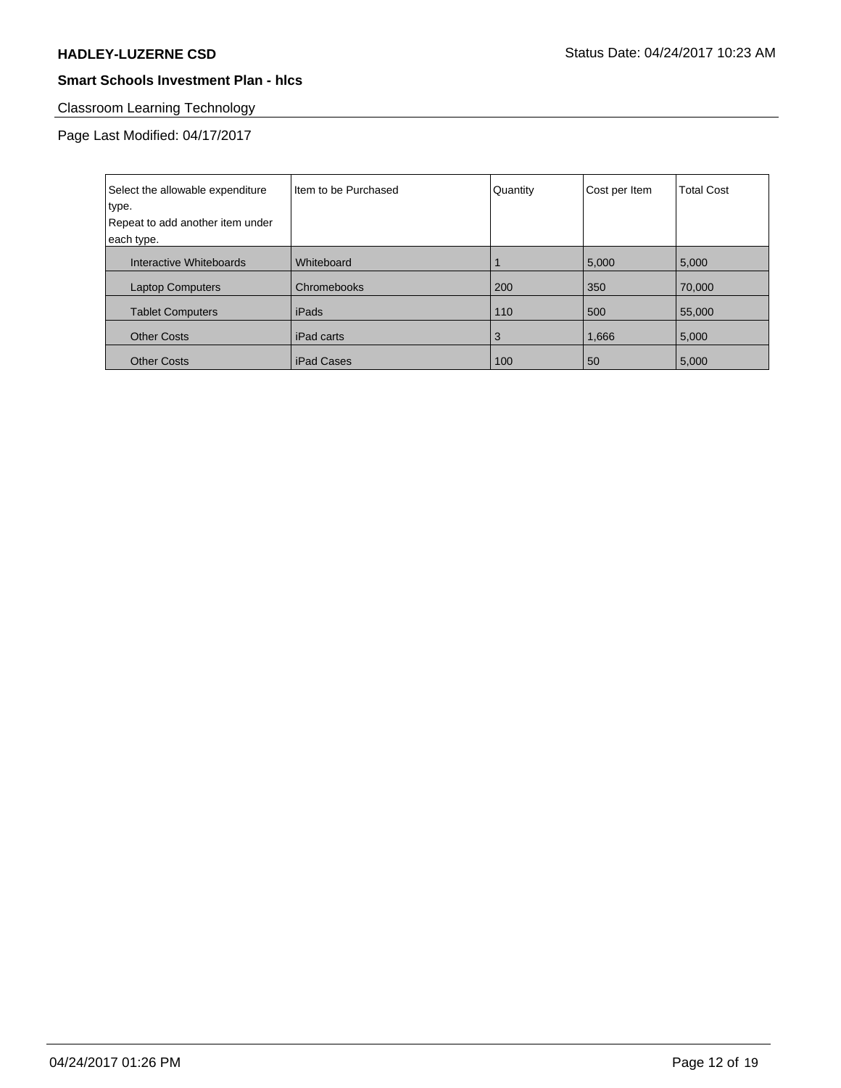# Classroom Learning Technology

Page Last Modified: 04/17/2017

| Select the allowable expenditure | Iltem to be Purchased | Quantity | Cost per Item | <b>Total Cost</b> |
|----------------------------------|-----------------------|----------|---------------|-------------------|
| type.                            |                       |          |               |                   |
| Repeat to add another item under |                       |          |               |                   |
| each type.                       |                       |          |               |                   |
| Interactive Whiteboards          | Whiteboard            |          | 5,000         | 5,000             |
| <b>Laptop Computers</b>          | Chromebooks           | 200      | 350           | 70,000            |
| <b>Tablet Computers</b>          | iPads                 | 110      | 500           | 55,000            |
| <b>Other Costs</b>               | iPad carts            | 3        | 1,666         | 5,000             |
| <b>Other Costs</b>               | <b>iPad Cases</b>     | 100      | 50            | 5,000             |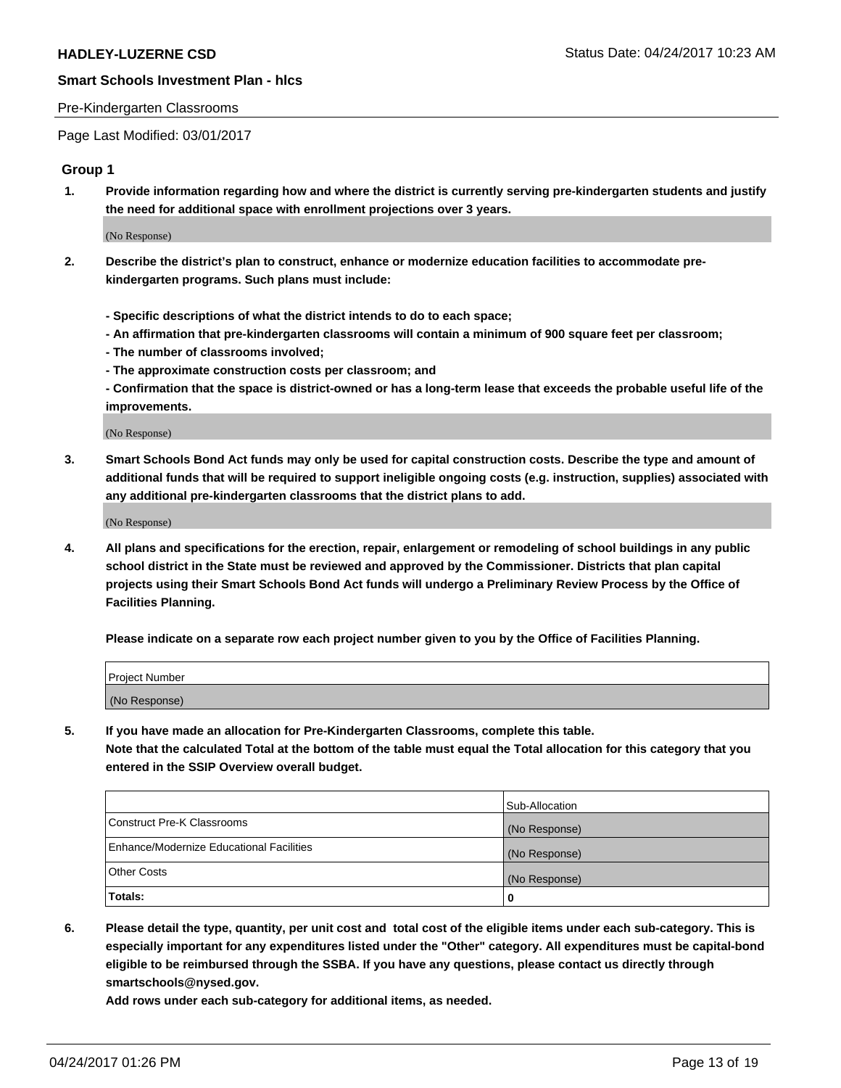#### Pre-Kindergarten Classrooms

Page Last Modified: 03/01/2017

#### **Group 1**

**1. Provide information regarding how and where the district is currently serving pre-kindergarten students and justify the need for additional space with enrollment projections over 3 years.**

(No Response)

- **2. Describe the district's plan to construct, enhance or modernize education facilities to accommodate prekindergarten programs. Such plans must include:**
	- **Specific descriptions of what the district intends to do to each space;**
	- **An affirmation that pre-kindergarten classrooms will contain a minimum of 900 square feet per classroom;**
	- **The number of classrooms involved;**
	- **The approximate construction costs per classroom; and**
	- **Confirmation that the space is district-owned or has a long-term lease that exceeds the probable useful life of the improvements.**

(No Response)

**3. Smart Schools Bond Act funds may only be used for capital construction costs. Describe the type and amount of additional funds that will be required to support ineligible ongoing costs (e.g. instruction, supplies) associated with any additional pre-kindergarten classrooms that the district plans to add.**

(No Response)

**4. All plans and specifications for the erection, repair, enlargement or remodeling of school buildings in any public school district in the State must be reviewed and approved by the Commissioner. Districts that plan capital projects using their Smart Schools Bond Act funds will undergo a Preliminary Review Process by the Office of Facilities Planning.**

**Please indicate on a separate row each project number given to you by the Office of Facilities Planning.**

| Project Number |  |
|----------------|--|
| (No Response)  |  |

**5. If you have made an allocation for Pre-Kindergarten Classrooms, complete this table. Note that the calculated Total at the bottom of the table must equal the Total allocation for this category that you entered in the SSIP Overview overall budget.**

| Totals:                                  | 0              |
|------------------------------------------|----------------|
| Other Costs                              | (No Response)  |
| Enhance/Modernize Educational Facilities | (No Response)  |
| Construct Pre-K Classrooms               | (No Response)  |
|                                          | Sub-Allocation |

**6. Please detail the type, quantity, per unit cost and total cost of the eligible items under each sub-category. This is especially important for any expenditures listed under the "Other" category. All expenditures must be capital-bond eligible to be reimbursed through the SSBA. If you have any questions, please contact us directly through smartschools@nysed.gov.**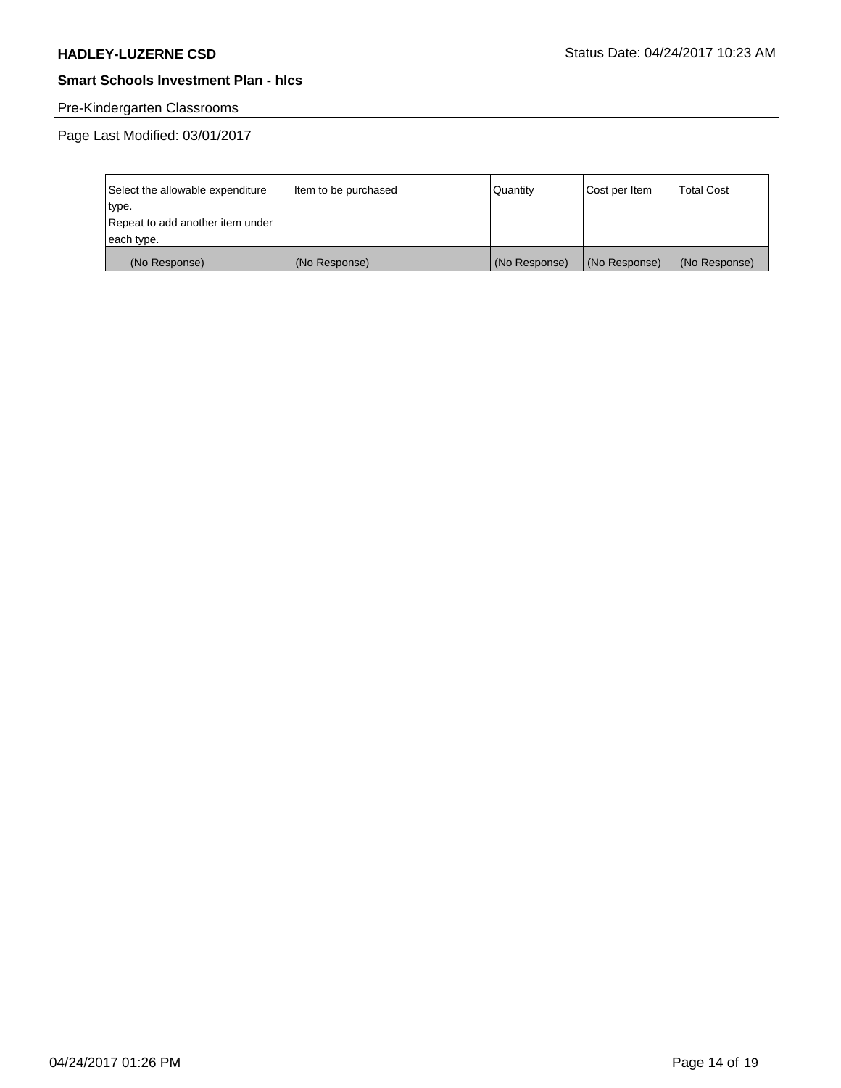# Pre-Kindergarten Classrooms

Page Last Modified: 03/01/2017

| Select the allowable expenditure | Item to be purchased | Quantity      | Cost per Item | <b>Total Cost</b> |
|----------------------------------|----------------------|---------------|---------------|-------------------|
| type.                            |                      |               |               |                   |
| Repeat to add another item under |                      |               |               |                   |
| each type.                       |                      |               |               |                   |
| (No Response)                    | (No Response)        | (No Response) | (No Response) | (No Response)     |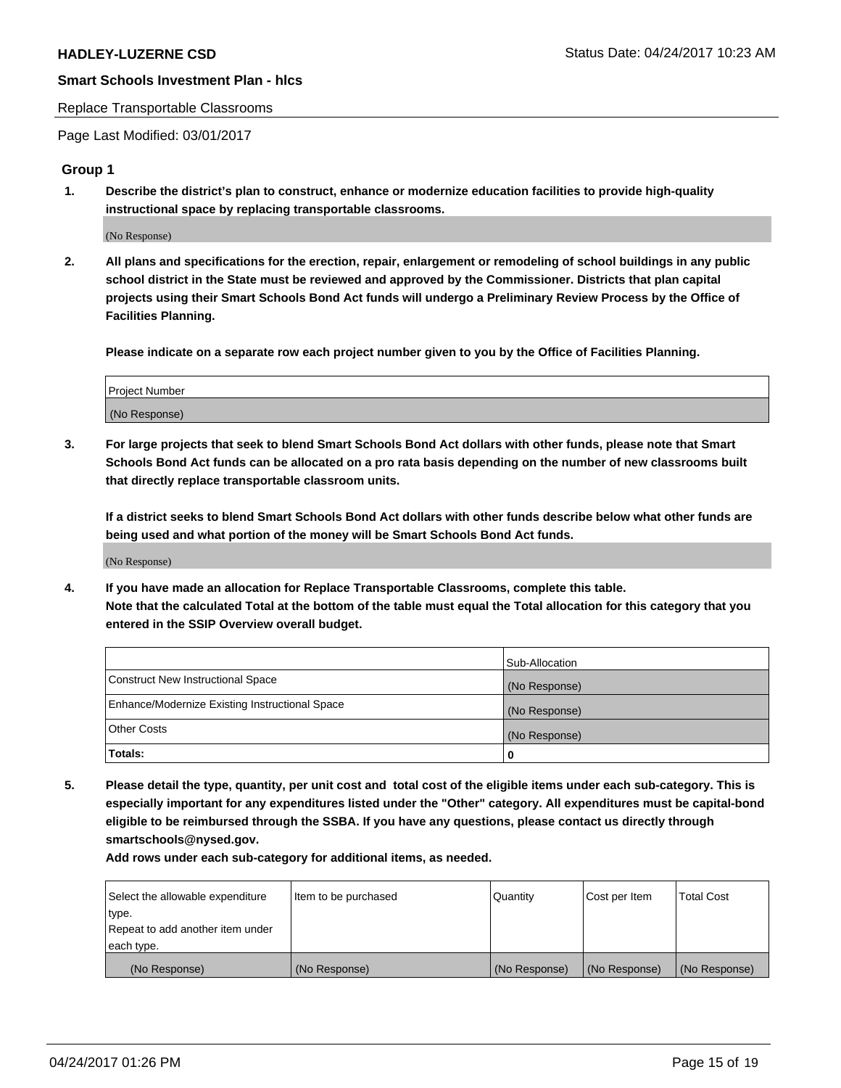#### Replace Transportable Classrooms

Page Last Modified: 03/01/2017

#### **Group 1**

**1. Describe the district's plan to construct, enhance or modernize education facilities to provide high-quality instructional space by replacing transportable classrooms.**

(No Response)

**2. All plans and specifications for the erection, repair, enlargement or remodeling of school buildings in any public school district in the State must be reviewed and approved by the Commissioner. Districts that plan capital projects using their Smart Schools Bond Act funds will undergo a Preliminary Review Process by the Office of Facilities Planning.**

**Please indicate on a separate row each project number given to you by the Office of Facilities Planning.**

| Project Number |  |
|----------------|--|
| (No Response)  |  |

**3. For large projects that seek to blend Smart Schools Bond Act dollars with other funds, please note that Smart Schools Bond Act funds can be allocated on a pro rata basis depending on the number of new classrooms built that directly replace transportable classroom units.**

**If a district seeks to blend Smart Schools Bond Act dollars with other funds describe below what other funds are being used and what portion of the money will be Smart Schools Bond Act funds.**

(No Response)

**4. If you have made an allocation for Replace Transportable Classrooms, complete this table. Note that the calculated Total at the bottom of the table must equal the Total allocation for this category that you entered in the SSIP Overview overall budget.**

|                                                | Sub-Allocation |
|------------------------------------------------|----------------|
| Construct New Instructional Space              | (No Response)  |
| Enhance/Modernize Existing Instructional Space | (No Response)  |
| Other Costs                                    | (No Response)  |
| Totals:                                        | $\Omega$       |

**5. Please detail the type, quantity, per unit cost and total cost of the eligible items under each sub-category. This is especially important for any expenditures listed under the "Other" category. All expenditures must be capital-bond eligible to be reimbursed through the SSBA. If you have any questions, please contact us directly through smartschools@nysed.gov.**

| Select the allowable expenditure | Item to be purchased | Quantity      | Cost per Item | <b>Total Cost</b> |
|----------------------------------|----------------------|---------------|---------------|-------------------|
| type.                            |                      |               |               |                   |
| Repeat to add another item under |                      |               |               |                   |
| each type.                       |                      |               |               |                   |
| (No Response)                    | (No Response)        | (No Response) | (No Response) | (No Response)     |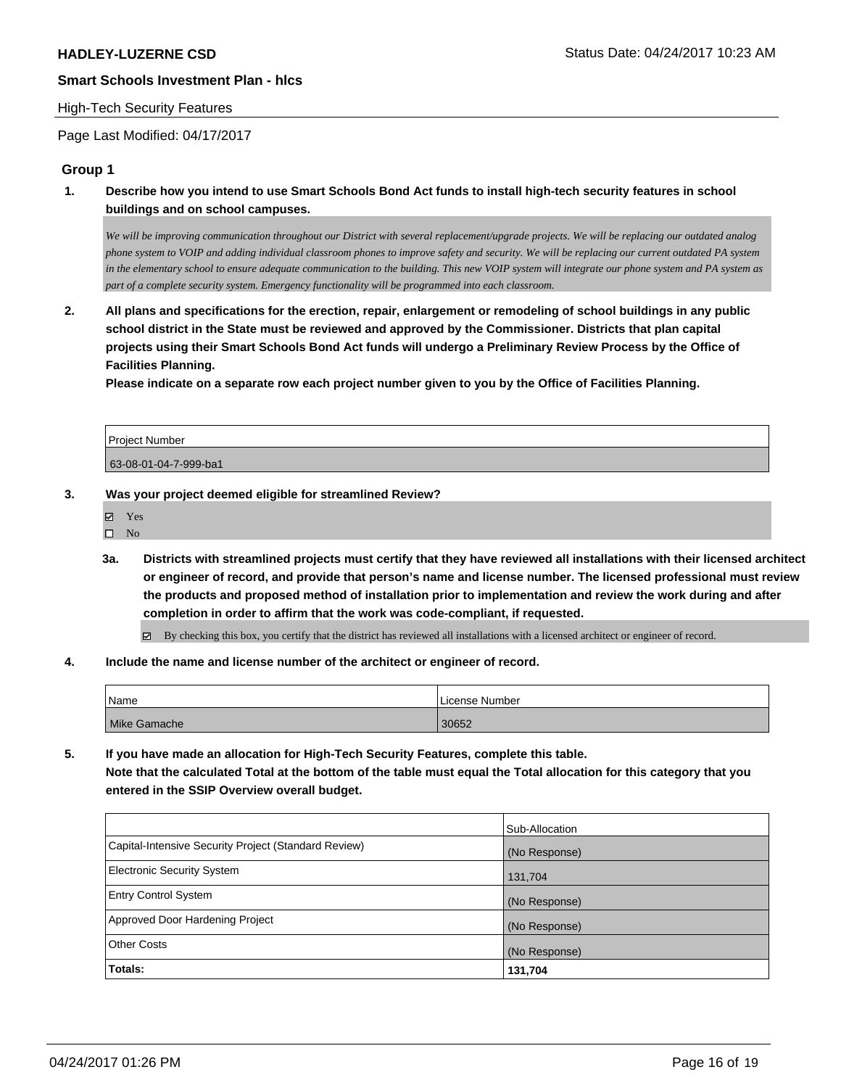#### High-Tech Security Features

Page Last Modified: 04/17/2017

#### **Group 1**

**1. Describe how you intend to use Smart Schools Bond Act funds to install high-tech security features in school buildings and on school campuses.**

*We will be improving communication throughout our District with several replacement/upgrade projects. We will be replacing our outdated analog phone system to VOIP and adding individual classroom phones to improve safety and security. We will be replacing our current outdated PA system in the elementary school to ensure adequate communication to the building. This new VOIP system will integrate our phone system and PA system as part of a complete security system. Emergency functionality will be programmed into each classroom.*

**2. All plans and specifications for the erection, repair, enlargement or remodeling of school buildings in any public school district in the State must be reviewed and approved by the Commissioner. Districts that plan capital projects using their Smart Schools Bond Act funds will undergo a Preliminary Review Process by the Office of Facilities Planning.** 

**Please indicate on a separate row each project number given to you by the Office of Facilities Planning.**

Project Number 63-08-01-04-7-999-ba1

- **3. Was your project deemed eligible for streamlined Review?**
	- Yes
	- $\square$  No
	- **3a. Districts with streamlined projects must certify that they have reviewed all installations with their licensed architect or engineer of record, and provide that person's name and license number. The licensed professional must review the products and proposed method of installation prior to implementation and review the work during and after completion in order to affirm that the work was code-compliant, if requested.**

By checking this box, you certify that the district has reviewed all installations with a licensed architect or engineer of record.

**4. Include the name and license number of the architect or engineer of record.**

| Name         | l License Number |
|--------------|------------------|
| Mike Gamache | 30652            |

**5. If you have made an allocation for High-Tech Security Features, complete this table. Note that the calculated Total at the bottom of the table must equal the Total allocation for this category that you entered in the SSIP Overview overall budget.**

|                                                      | Sub-Allocation |
|------------------------------------------------------|----------------|
| Capital-Intensive Security Project (Standard Review) | (No Response)  |
| Electronic Security System                           | 131,704        |
| <b>Entry Control System</b>                          | (No Response)  |
| Approved Door Hardening Project                      | (No Response)  |
| <b>Other Costs</b>                                   | (No Response)  |
| <b>Totals:</b>                                       | 131,704        |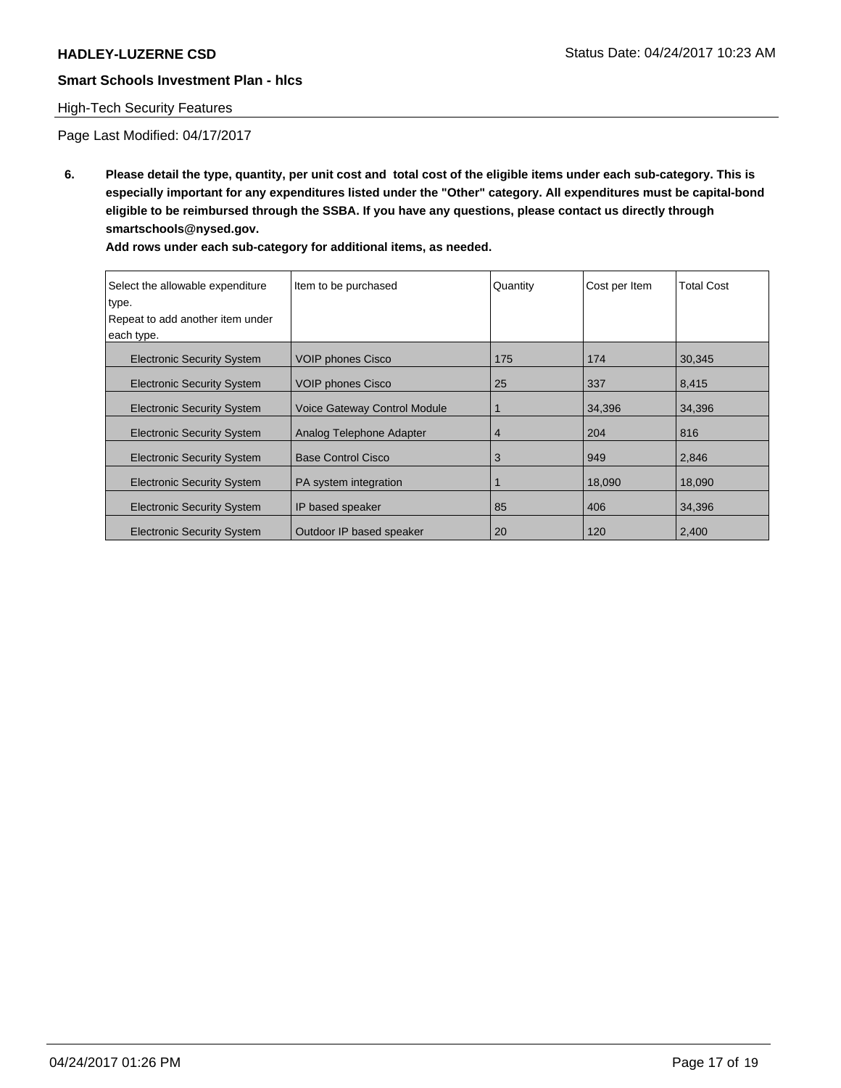# High-Tech Security Features

Page Last Modified: 04/17/2017

**6. Please detail the type, quantity, per unit cost and total cost of the eligible items under each sub-category. This is especially important for any expenditures listed under the "Other" category. All expenditures must be capital-bond eligible to be reimbursed through the SSBA. If you have any questions, please contact us directly through smartschools@nysed.gov.**

| Select the allowable expenditure<br>type.<br>Repeat to add another item under<br>each type. | Item to be purchased                | Quantity | Cost per Item | <b>Total Cost</b> |
|---------------------------------------------------------------------------------------------|-------------------------------------|----------|---------------|-------------------|
| <b>Electronic Security System</b>                                                           | <b>VOIP phones Cisco</b>            | 175      | 174           | 30,345            |
| <b>Electronic Security System</b>                                                           | VOIP phones Cisco                   | 25       | 337           | 8,415             |
| <b>Electronic Security System</b>                                                           | <b>Voice Gateway Control Module</b> | 1        | 34,396        | 34,396            |
| <b>Electronic Security System</b>                                                           | Analog Telephone Adapter            | 4        | 204           | 816               |
| <b>Electronic Security System</b>                                                           | <b>Base Control Cisco</b>           | 3        | 949           | 2,846             |
| <b>Electronic Security System</b>                                                           | PA system integration               |          | 18,090        | 18,090            |
| <b>Electronic Security System</b>                                                           | IP based speaker                    | 85       | 406           | 34,396            |
| <b>Electronic Security System</b>                                                           | Outdoor IP based speaker            | 20       | 120           | 2,400             |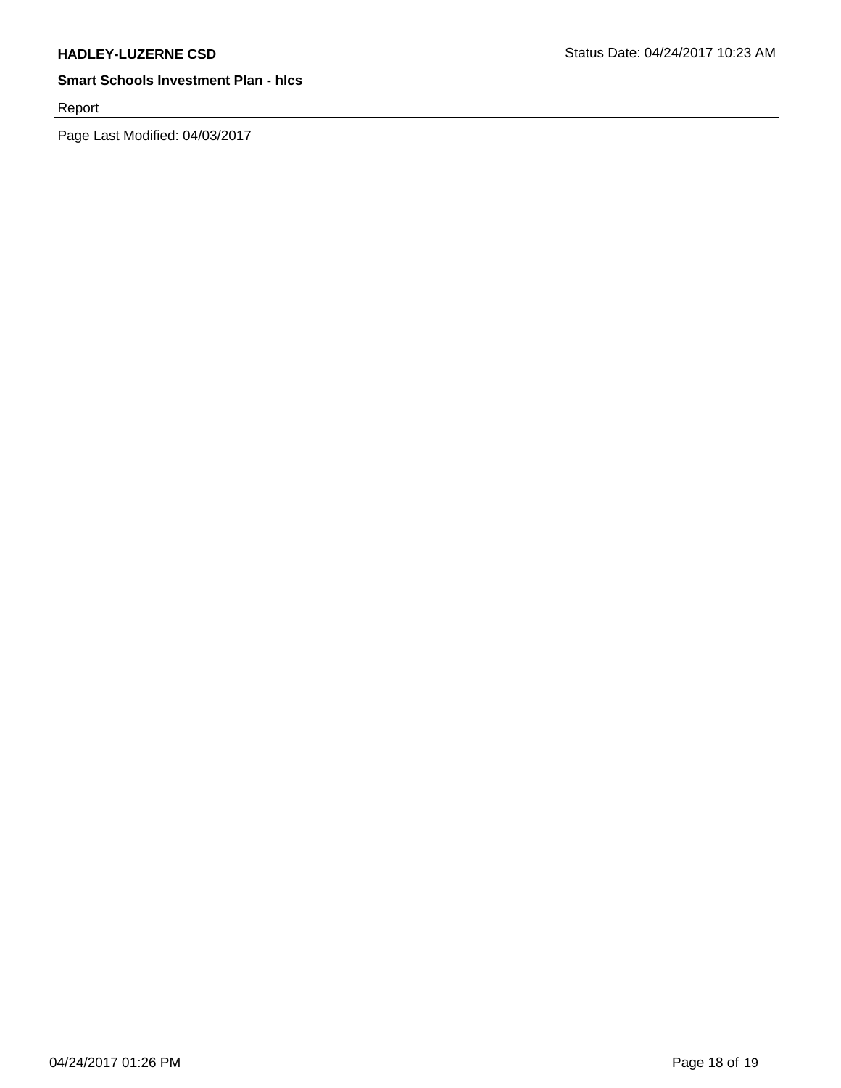Report

Page Last Modified: 04/03/2017